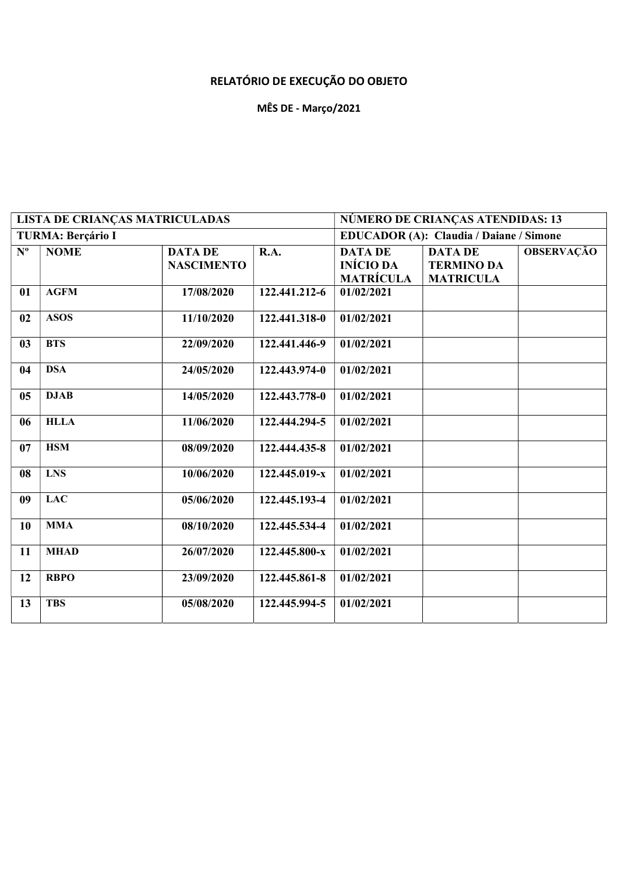## RELATÓRIO DE EXECUÇÃO DO OBJETO

## MÊS DE - Março/2021

|                   | <b>LISTA DE CRIANÇAS MATRICULADAS</b> |                                     |               |                                                        | NÚMERO DE CRIANÇAS ATENDIDAS: 13                        |                   |  |
|-------------------|---------------------------------------|-------------------------------------|---------------|--------------------------------------------------------|---------------------------------------------------------|-------------------|--|
|                   | <b>TURMA: Berçário I</b>              |                                     |               |                                                        | <b>EDUCADOR (A): Claudia / Daiane / Simone</b>          |                   |  |
| ${\bf N}^{\rm o}$ | <b>NOME</b>                           | <b>DATA DE</b><br><b>NASCIMENTO</b> | R.A.          | <b>DATA DE</b><br><b>INÍCIO DA</b><br><b>MATRÍCULA</b> | <b>DATA DE</b><br><b>TERMINO DA</b><br><b>MATRICULA</b> | <b>OBSERVAÇÃO</b> |  |
| 01                | <b>AGFM</b>                           | 17/08/2020                          | 122.441.212-6 | 01/02/2021                                             |                                                         |                   |  |
| 02                | <b>ASOS</b>                           | 11/10/2020                          | 122.441.318-0 | 01/02/2021                                             |                                                         |                   |  |
| 03                | <b>BTS</b>                            | 22/09/2020                          | 122.441.446-9 | 01/02/2021                                             |                                                         |                   |  |
| 04                | <b>DSA</b>                            | 24/05/2020                          | 122.443.974-0 | 01/02/2021                                             |                                                         |                   |  |
| 05                | <b>DJAB</b>                           | 14/05/2020                          | 122.443.778-0 | 01/02/2021                                             |                                                         |                   |  |
| 06                | <b>HLLA</b>                           | 11/06/2020                          | 122.444.294-5 | 01/02/2021                                             |                                                         |                   |  |
| 07                | <b>HSM</b>                            | 08/09/2020                          | 122.444.435-8 | 01/02/2021                                             |                                                         |                   |  |
| 08                | <b>LNS</b>                            | 10/06/2020                          | 122.445.019-x | 01/02/2021                                             |                                                         |                   |  |
| 09                | <b>LAC</b>                            | 05/06/2020                          | 122.445.193-4 | 01/02/2021                                             |                                                         |                   |  |
| 10                | <b>MMA</b>                            | 08/10/2020                          | 122.445.534-4 | 01/02/2021                                             |                                                         |                   |  |
| 11                | <b>MHAD</b>                           | 26/07/2020                          | 122.445.800-x | 01/02/2021                                             |                                                         |                   |  |
| 12                | <b>RBPO</b>                           | 23/09/2020                          | 122.445.861-8 | 01/02/2021                                             |                                                         |                   |  |
| 13                | <b>TBS</b>                            | 05/08/2020                          | 122.445.994-5 | 01/02/2021                                             |                                                         |                   |  |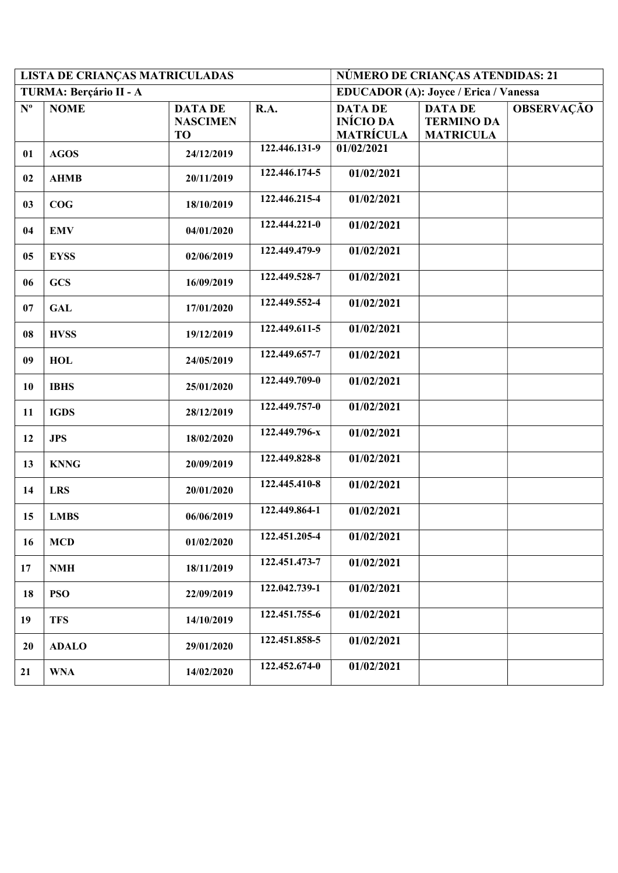|                           | LISTA DE CRIANÇAS MATRICULADAS |                                                | NÚMERO DE CRIANÇAS ATENDIDAS: 21 |                                                        |                                                         |                   |
|---------------------------|--------------------------------|------------------------------------------------|----------------------------------|--------------------------------------------------------|---------------------------------------------------------|-------------------|
|                           | TURMA: Berçário II - A         |                                                |                                  | <b>EDUCADOR (A): Joyce / Erica / Vanessa</b>           |                                                         |                   |
| $\mathbf{N}^{\mathbf{o}}$ | <b>NOME</b>                    | <b>DATA DE</b><br><b>NASCIMEN</b><br><b>TO</b> | R.A.                             | <b>DATA DE</b><br><b>INÍCIO DA</b><br><b>MATRÍCULA</b> | <b>DATA DE</b><br><b>TERMINO DA</b><br><b>MATRICULA</b> | <b>OBSERVAÇÃO</b> |
| 01                        | <b>AGOS</b>                    | 24/12/2019                                     | 122.446.131-9                    | 01/02/2021                                             |                                                         |                   |
| 02                        | <b>AHMB</b>                    | 20/11/2019                                     | 122.446.174-5                    | 01/02/2021                                             |                                                         |                   |
| 03                        | COG                            | 18/10/2019                                     | 122.446.215-4                    | 01/02/2021                                             |                                                         |                   |
| 04                        | <b>EMV</b>                     | 04/01/2020                                     | 122.444.221-0                    | 01/02/2021                                             |                                                         |                   |
| 05                        | <b>EYSS</b>                    | 02/06/2019                                     | 122.449.479-9                    | 01/02/2021                                             |                                                         |                   |
| 06                        | <b>GCS</b>                     | 16/09/2019                                     | 122.449.528-7                    | 01/02/2021                                             |                                                         |                   |
| 07                        | <b>GAL</b>                     | 17/01/2020                                     | 122.449.552-4                    | 01/02/2021                                             |                                                         |                   |
| 08                        | <b>HVSS</b>                    | 19/12/2019                                     | 122.449.611-5                    | 01/02/2021                                             |                                                         |                   |
| 09                        | <b>HOL</b>                     | 24/05/2019                                     | 122.449.657-7                    | 01/02/2021                                             |                                                         |                   |
| 10                        | <b>IBHS</b>                    | 25/01/2020                                     | 122.449.709-0                    | 01/02/2021                                             |                                                         |                   |
| 11                        | <b>IGDS</b>                    | 28/12/2019                                     | 122.449.757-0                    | 01/02/2021                                             |                                                         |                   |
| 12                        | <b>JPS</b>                     | 18/02/2020                                     | 122.449.796-x                    | 01/02/2021                                             |                                                         |                   |
| 13                        | <b>KNNG</b>                    | 20/09/2019                                     | 122.449.828-8                    | 01/02/2021                                             |                                                         |                   |
| 14                        | <b>LRS</b>                     | 20/01/2020                                     | 122.445.410-8                    | 01/02/2021                                             |                                                         |                   |
| 15                        | <b>LMBS</b>                    | 06/06/2019                                     | 122.449.864-1                    | 01/02/2021                                             |                                                         |                   |
| 16                        | <b>MCD</b>                     | 01/02/2020                                     | 122.451.205-4                    | 01/02/2021                                             |                                                         |                   |
| 17                        | <b>NMH</b>                     | 18/11/2019                                     | 122.451.473-7                    | 01/02/2021                                             |                                                         |                   |
| 18                        | <b>PSO</b>                     | 22/09/2019                                     | 122.042.739-1                    | 01/02/2021                                             |                                                         |                   |
| 19                        | <b>TFS</b>                     | 14/10/2019                                     | 122.451.755-6                    | 01/02/2021                                             |                                                         |                   |
| 20                        | <b>ADALO</b>                   | 29/01/2020                                     | 122.451.858-5                    | 01/02/2021                                             |                                                         |                   |
| 21                        | <b>WNA</b>                     | 14/02/2020                                     | 122.452.674-0                    | 01/02/2021                                             |                                                         |                   |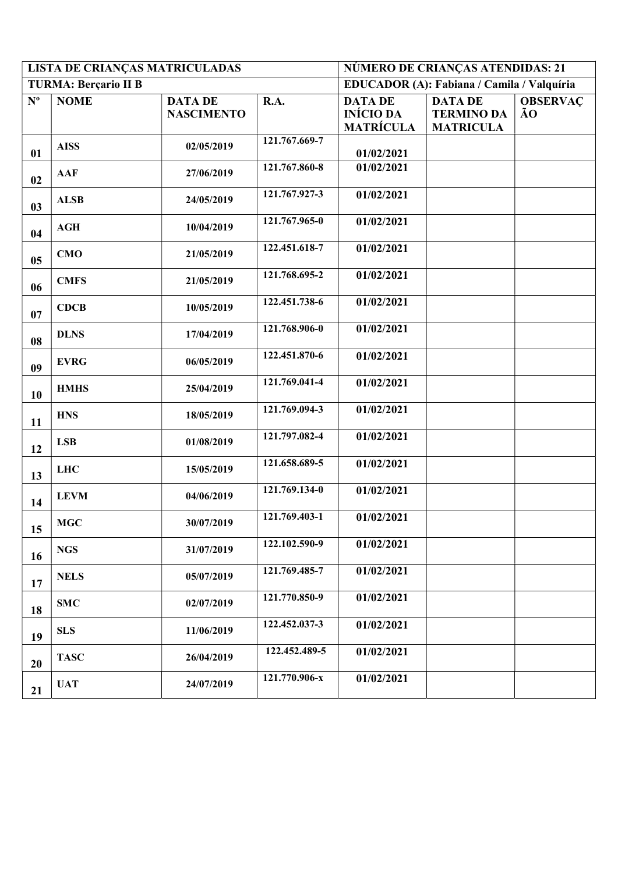|                           | LISTA DE CRIANÇAS MATRICULADAS |                                     | NÚMERO DE CRIANÇAS ATENDIDAS: 21 |                                                        |                                                         |                       |
|---------------------------|--------------------------------|-------------------------------------|----------------------------------|--------------------------------------------------------|---------------------------------------------------------|-----------------------|
|                           | <b>TURMA: Berçario II B</b>    |                                     |                                  |                                                        | EDUCADOR (A): Fabiana / Camila / Valquíria              |                       |
| $\mathbf{N}^{\mathrm{o}}$ | <b>NOME</b>                    | <b>DATA DE</b><br><b>NASCIMENTO</b> | R.A.                             | <b>DATA DE</b><br><b>INÍCIO DA</b><br><b>MATRÍCULA</b> | <b>DATA DE</b><br><b>TERMINO DA</b><br><b>MATRICULA</b> | <b>OBSERVAC</b><br>ÃO |
| 01                        | <b>AISS</b>                    | 02/05/2019                          | 121.767.669-7                    | 01/02/2021                                             |                                                         |                       |
| 02                        | <b>AAF</b>                     | 27/06/2019                          | 121.767.860-8                    | 01/02/2021                                             |                                                         |                       |
| 03                        | <b>ALSB</b>                    | 24/05/2019                          | 121.767.927-3                    | 01/02/2021                                             |                                                         |                       |
| 04                        | $\bf AGH$                      | 10/04/2019                          | 121.767.965-0                    | 01/02/2021                                             |                                                         |                       |
| 05                        | CMO                            | 21/05/2019                          | 122.451.618-7                    | 01/02/2021                                             |                                                         |                       |
| 06                        | <b>CMFS</b>                    | 21/05/2019                          | 121.768.695-2                    | 01/02/2021                                             |                                                         |                       |
| 07                        | <b>CDCB</b>                    | 10/05/2019                          | 122.451.738-6                    | 01/02/2021                                             |                                                         |                       |
| 08                        | <b>DLNS</b>                    | 17/04/2019                          | 121.768.906-0                    | 01/02/2021                                             |                                                         |                       |
| 09                        | <b>EVRG</b>                    | 06/05/2019                          | 122.451.870-6                    | 01/02/2021                                             |                                                         |                       |
| 10                        | <b>HMHS</b>                    | 25/04/2019                          | 121.769.041-4                    | 01/02/2021                                             |                                                         |                       |
| 11                        | <b>HNS</b>                     | 18/05/2019                          | 121.769.094-3                    | 01/02/2021                                             |                                                         |                       |
| 12                        | <b>LSB</b>                     | 01/08/2019                          | 121.797.082-4                    | 01/02/2021                                             |                                                         |                       |
| 13                        | <b>LHC</b>                     | 15/05/2019                          | 121.658.689-5                    | 01/02/2021                                             |                                                         |                       |
| 14                        | <b>LEVM</b>                    | 04/06/2019                          | 121.769.134-0                    | 01/02/2021                                             |                                                         |                       |
| 15                        | MGC                            | 30/07/2019                          | 121.769.403-1                    | 01/02/2021                                             |                                                         |                       |
| 16                        | <b>NGS</b>                     | 31/07/2019                          | 122.102.590-9                    | 01/02/2021                                             |                                                         |                       |
| 17                        | <b>NELS</b>                    | 05/07/2019                          | 121.769.485-7                    | 01/02/2021                                             |                                                         |                       |
| 18                        | <b>SMC</b>                     | 02/07/2019                          | 121.770.850-9                    | 01/02/2021                                             |                                                         |                       |
| 19                        | <b>SLS</b>                     | 11/06/2019                          | 122.452.037-3                    | 01/02/2021                                             |                                                         |                       |
| 20                        | <b>TASC</b>                    | 26/04/2019                          | 122.452.489-5                    | 01/02/2021                                             |                                                         |                       |
| 21                        | <b>UAT</b>                     | 24/07/2019                          | 121.770.906-x                    | 01/02/2021                                             |                                                         |                       |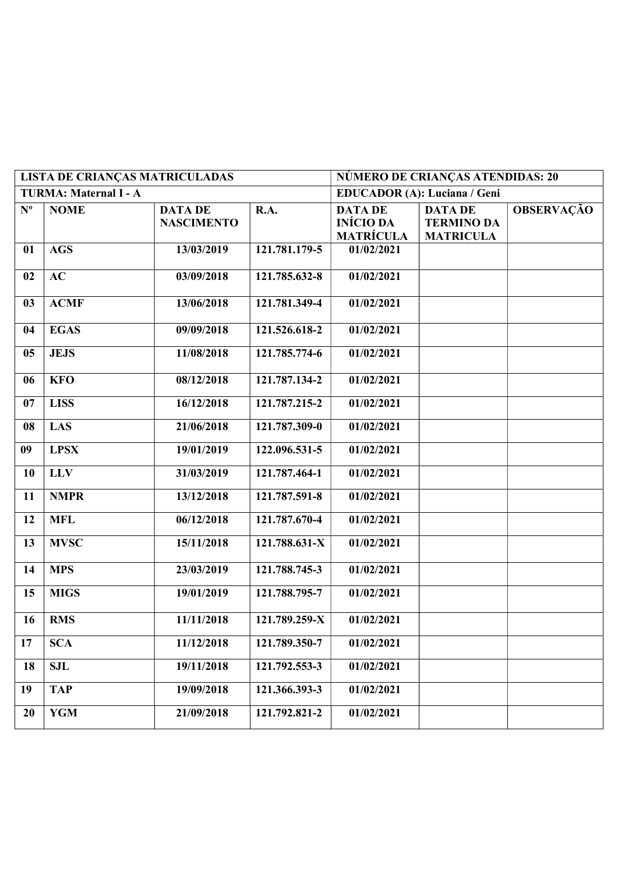|             | <b>LISTA DE CRIANÇAS MATRICULADAS</b> |                                     | NÚMERO DE CRIANÇAS ATENDIDAS: 20 |                                                        |                                                         |                   |
|-------------|---------------------------------------|-------------------------------------|----------------------------------|--------------------------------------------------------|---------------------------------------------------------|-------------------|
|             | TURMA: Maternal I - A                 |                                     |                                  |                                                        | EDUCADOR (A): Luciana / Geni                            |                   |
| $N^{\circ}$ | <b>NOME</b>                           | <b>DATA DE</b><br><b>NASCIMENTO</b> | R.A.                             | <b>DATA DE</b><br><b>INÍCIO DA</b><br><b>MATRÍCULA</b> | <b>DATA DE</b><br><b>TERMINO DA</b><br><b>MATRICULA</b> | <b>OBSERVAÇÃO</b> |
| 01          | $\overline{\text{AGS}}$               | 13/03/2019                          | 121.781.179-5                    | 01/02/2021                                             |                                                         |                   |
| 02          | AC                                    | 03/09/2018                          | 121.785.632-8                    | 01/02/2021                                             |                                                         |                   |
| 03          | <b>ACMF</b>                           | 13/06/2018                          | 121.781.349-4                    | 01/02/2021                                             |                                                         |                   |
| 04          | <b>EGAS</b>                           | 09/09/2018                          | 121.526.618-2                    | 01/02/2021                                             |                                                         |                   |
| 05          | <b>JEJS</b>                           | 11/08/2018                          | 121.785.774-6                    | 01/02/2021                                             |                                                         |                   |
| 06          | <b>KFO</b>                            | 08/12/2018                          | 121.787.134-2                    | 01/02/2021                                             |                                                         |                   |
| 07          | <b>LISS</b>                           | 16/12/2018                          | 121.787.215-2                    | 01/02/2021                                             |                                                         |                   |
| 08          | <b>LAS</b>                            | 21/06/2018                          | 121.787.309-0                    | 01/02/2021                                             |                                                         |                   |
| 09          | <b>LPSX</b>                           | 19/01/2019                          | 122.096.531-5                    | 01/02/2021                                             |                                                         |                   |
| <b>10</b>   | <b>LLV</b>                            | 31/03/2019                          | 121.787.464-1                    | 01/02/2021                                             |                                                         |                   |
| 11          | <b>NMPR</b>                           | 13/12/2018                          | 121.787.591-8                    | 01/02/2021                                             |                                                         |                   |
| 12          | <b>MFL</b>                            | 06/12/2018                          | 121.787.670-4                    | 01/02/2021                                             |                                                         |                   |
| 13          | $MVS\overline{C}$                     | 15/11/2018                          | 121.788.631-X                    | 01/02/2021                                             |                                                         |                   |
| 14          | <b>MPS</b>                            | 23/03/2019                          | 121.788.745-3                    | 01/02/2021                                             |                                                         |                   |
| 15          | <b>MIGS</b>                           | 19/01/2019                          | 121.788.795-7                    | 01/02/2021                                             |                                                         |                   |
| 16          | <b>RMS</b>                            | 11/11/2018                          | 121.789.259-X                    | 01/02/2021                                             |                                                         |                   |
| 17          | <b>SCA</b>                            | 11/12/2018                          | 121.789.350-7                    | 01/02/2021                                             |                                                         |                   |
| 18          | <b>SJL</b>                            | 19/11/2018                          | 121.792.553-3                    | 01/02/2021                                             |                                                         |                   |
| 19          | <b>TAP</b>                            | 19/09/2018                          | 121.366.393-3                    | 01/02/2021                                             |                                                         |                   |
| 20          | <b>YGM</b>                            | 21/09/2018                          | 121.792.821-2                    | 01/02/2021                                             |                                                         |                   |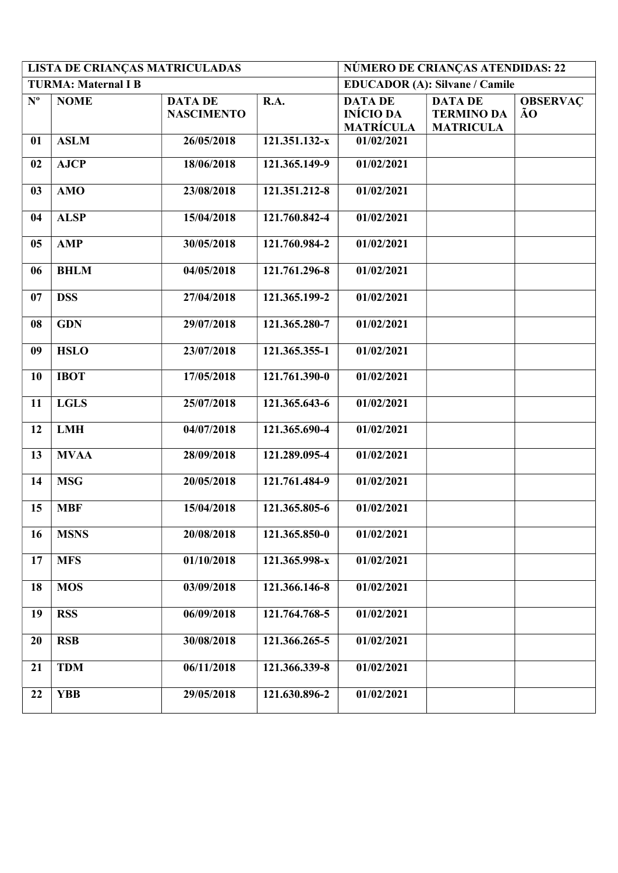|             | LISTA DE CRIANÇAS MATRICULADAS |                                     |               |                                                        | NÚMERO DE CRIANÇAS ATENDIDAS: 22                        |                       |  |  |
|-------------|--------------------------------|-------------------------------------|---------------|--------------------------------------------------------|---------------------------------------------------------|-----------------------|--|--|
|             | <b>TURMA: Maternal I B</b>     |                                     |               |                                                        | <b>EDUCADOR (A): Silvane / Camile</b>                   |                       |  |  |
| $N^{\circ}$ | <b>NOME</b>                    | <b>DATA DE</b><br><b>NASCIMENTO</b> | <b>R.A.</b>   | <b>DATA DE</b><br><b>INÍCIO DA</b><br><b>MATRÍCULA</b> | <b>DATA DE</b><br><b>TERMINO DA</b><br><b>MATRICULA</b> | <b>OBSERVAC</b><br>ÃO |  |  |
| 01          | <b>ASLM</b>                    | 26/05/2018                          | 121.351.132-x | 01/02/2021                                             |                                                         |                       |  |  |
| 02          | <b>AJCP</b>                    | 18/06/2018                          | 121.365.149-9 | 01/02/2021                                             |                                                         |                       |  |  |
| 03          | <b>AMO</b>                     | 23/08/2018                          | 121.351.212-8 | 01/02/2021                                             |                                                         |                       |  |  |
| 04          | <b>ALSP</b>                    | 15/04/2018                          | 121.760.842-4 | 01/02/2021                                             |                                                         |                       |  |  |
| 05          | <b>AMP</b>                     | 30/05/2018                          | 121.760.984-2 | 01/02/2021                                             |                                                         |                       |  |  |
| 06          | <b>BHLM</b>                    | 04/05/2018                          | 121.761.296-8 | 01/02/2021                                             |                                                         |                       |  |  |
| 07          | <b>DSS</b>                     | 27/04/2018                          | 121.365.199-2 | 01/02/2021                                             |                                                         |                       |  |  |
| 08          | <b>GDN</b>                     | 29/07/2018                          | 121.365.280-7 | 01/02/2021                                             |                                                         |                       |  |  |
| 09          | <b>HSLO</b>                    | 23/07/2018                          | 121.365.355-1 | 01/02/2021                                             |                                                         |                       |  |  |
| <b>10</b>   | <b>IBOT</b>                    | 17/05/2018                          | 121.761.390-0 | 01/02/2021                                             |                                                         |                       |  |  |
| 11          | <b>LGLS</b>                    | 25/07/2018                          | 121.365.643-6 | 01/02/2021                                             |                                                         |                       |  |  |
| 12          | <b>LMH</b>                     | 04/07/2018                          | 121.365.690-4 | 01/02/2021                                             |                                                         |                       |  |  |
| 13          | <b>MVAA</b>                    | 28/09/2018                          | 121.289.095-4 | 01/02/2021                                             |                                                         |                       |  |  |
| 14          | <b>MSG</b>                     | 20/05/2018                          | 121.761.484-9 | 01/02/2021                                             |                                                         |                       |  |  |
| 15          | <b>MBF</b>                     | 15/04/2018                          | 121.365.805-6 | 01/02/2021                                             |                                                         |                       |  |  |
| 16          | <b>MSNS</b>                    | 20/08/2018                          | 121.365.850-0 | 01/02/2021                                             |                                                         |                       |  |  |
| 17          | <b>MFS</b>                     | 01/10/2018                          | 121.365.998-x | 01/02/2021                                             |                                                         |                       |  |  |
| 18          | <b>MOS</b>                     | 03/09/2018                          | 121.366.146-8 | 01/02/2021                                             |                                                         |                       |  |  |
| 19          | <b>RSS</b>                     | 06/09/2018                          | 121.764.768-5 | 01/02/2021                                             |                                                         |                       |  |  |
| 20          | <b>RSB</b>                     | 30/08/2018                          | 121.366.265-5 | 01/02/2021                                             |                                                         |                       |  |  |
| 21          | <b>TDM</b>                     | 06/11/2018                          | 121.366.339-8 | 01/02/2021                                             |                                                         |                       |  |  |
| 22          | <b>YBB</b>                     | 29/05/2018                          | 121.630.896-2 | 01/02/2021                                             |                                                         |                       |  |  |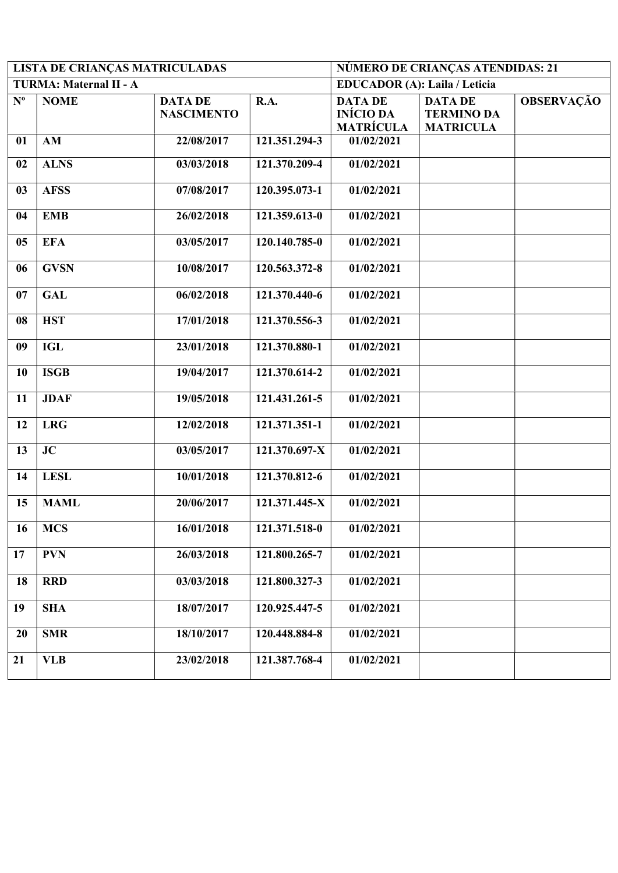|                           | LISTA DE CRIANÇAS MATRICULADAS |                                     | NÚMERO DE CRIANÇAS ATENDIDAS: 21 |                                                        |                                                         |                   |
|---------------------------|--------------------------------|-------------------------------------|----------------------------------|--------------------------------------------------------|---------------------------------------------------------|-------------------|
|                           | TURMA: Maternal II - A         |                                     |                                  | <b>EDUCADOR</b> (A): Laila / Leticia                   |                                                         |                   |
| $\mathbf{N}^{\mathbf{o}}$ | <b>NOME</b>                    | <b>DATA DE</b><br><b>NASCIMENTO</b> | R.A.                             | <b>DATA DE</b><br><b>INÍCIO DA</b><br><b>MATRÍCULA</b> | <b>DATA DE</b><br><b>TERMINO DA</b><br><b>MATRICULA</b> | <b>OBSERVAÇÃO</b> |
| 01                        | AM                             | 22/08/2017                          | 121.351.294-3                    | 01/02/2021                                             |                                                         |                   |
| 02                        | <b>ALNS</b>                    | 03/03/2018                          | 121.370.209-4                    | 01/02/2021                                             |                                                         |                   |
| 03                        | <b>AFSS</b>                    | 07/08/2017                          | 120.395.073-1                    | 01/02/2021                                             |                                                         |                   |
| 04                        | <b>EMB</b>                     | 26/02/2018                          | 121.359.613-0                    | 01/02/2021                                             |                                                         |                   |
| 05                        | <b>EFA</b>                     | 03/05/2017                          | 120.140.785-0                    | 01/02/2021                                             |                                                         |                   |
| 06                        | <b>GVSN</b>                    | 10/08/2017                          | 120.563.372-8                    | 01/02/2021                                             |                                                         |                   |
| 07                        | <b>GAL</b>                     | 06/02/2018                          | 121.370.440-6                    | 01/02/2021                                             |                                                         |                   |
| 08                        | <b>HST</b>                     | 17/01/2018                          | 121.370.556-3                    | 01/02/2021                                             |                                                         |                   |
| 09                        | <b>IGL</b>                     | 23/01/2018                          | 121.370.880-1                    | 01/02/2021                                             |                                                         |                   |
| 10                        | <b>ISGB</b>                    | 19/04/2017                          | 121.370.614-2                    | 01/02/2021                                             |                                                         |                   |
| 11                        | <b>JDAF</b>                    | 19/05/2018                          | 121.431.261-5                    | 01/02/2021                                             |                                                         |                   |
| 12                        | <b>LRG</b>                     | 12/02/2018                          | 121.371.351-1                    | 01/02/2021                                             |                                                         |                   |
| 13                        | JC                             | 03/05/2017                          | 121.370.697-X                    | 01/02/2021                                             |                                                         |                   |
| 14                        | <b>LESL</b>                    | 10/01/2018                          | 121.370.812-6                    | 01/02/2021                                             |                                                         |                   |
| 15                        | <b>MAML</b>                    | 20/06/2017                          | 121.371.445-X                    | 01/02/2021                                             |                                                         |                   |
| 16                        | <b>MCS</b>                     | 16/01/2018                          | 121.371.518-0                    | 01/02/2021                                             |                                                         |                   |
| 17                        | <b>PVN</b>                     | 26/03/2018                          | 121.800.265-7                    | 01/02/2021                                             |                                                         |                   |
| 18                        | <b>RRD</b>                     | 03/03/2018                          | 121.800.327-3                    | 01/02/2021                                             |                                                         |                   |
| 19                        | <b>SHA</b>                     | 18/07/2017                          | 120.925.447-5                    | 01/02/2021                                             |                                                         |                   |
| 20                        | <b>SMR</b>                     | 18/10/2017                          | 120.448.884-8                    | 01/02/2021                                             |                                                         |                   |
| 21                        | <b>VLB</b>                     | 23/02/2018                          | 121.387.768-4                    | 01/02/2021                                             |                                                         |                   |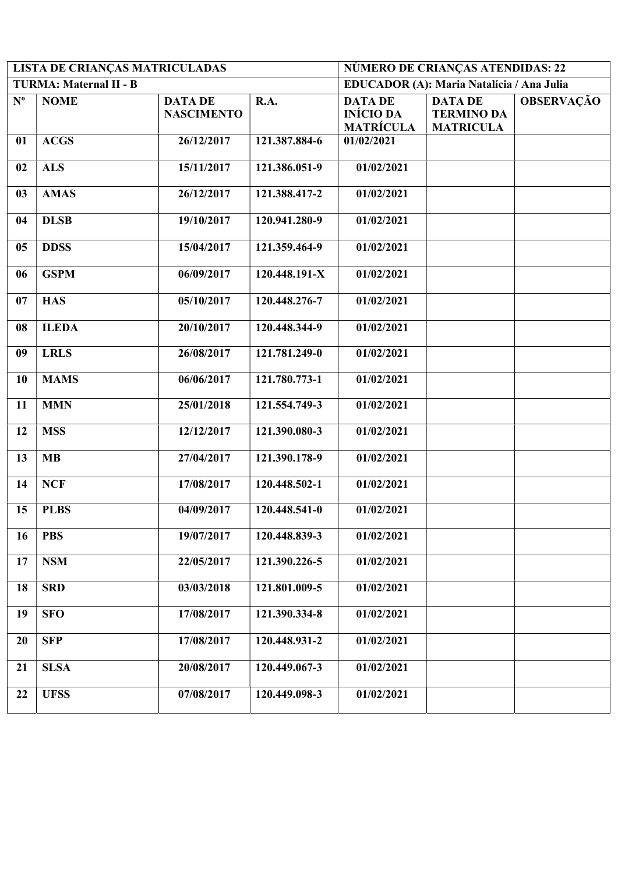| <b>LISTA DE CRIANÇAS MATRICULADAS</b> |                        |                                     |               | NÚMERO DE CRIANÇAS ATENDIDAS: 22                       |                                                         |                   |  |
|---------------------------------------|------------------------|-------------------------------------|---------------|--------------------------------------------------------|---------------------------------------------------------|-------------------|--|
|                                       | TURMA: Maternal II - B |                                     |               | EDUCADOR (A): Maria Natalícia / Ana Julia              |                                                         |                   |  |
| $\mathbf{N}^{\mathbf{o}}$             | <b>NOME</b>            | <b>DATA DE</b><br><b>NASCIMENTO</b> | R.A.          | <b>DATA DE</b><br><b>INÍCIO DA</b><br><b>MATRÍCULA</b> | <b>DATA DE</b><br><b>TERMINO DA</b><br><b>MATRICULA</b> | <b>OBSERVAÇÃO</b> |  |
| 01                                    | <b>ACGS</b>            | 26/12/2017                          | 121.387.884-6 | 01/02/2021                                             |                                                         |                   |  |
| 02                                    | <b>ALS</b>             | 15/11/2017                          | 121.386.051-9 | 01/02/2021                                             |                                                         |                   |  |
| 03                                    | <b>AMAS</b>            | 26/12/2017                          | 121.388.417-2 | 01/02/2021                                             |                                                         |                   |  |
| 04                                    | <b>DLSB</b>            | 19/10/2017                          | 120.941.280-9 | 01/02/2021                                             |                                                         |                   |  |
| 05                                    | <b>DDSS</b>            | 15/04/2017                          | 121.359.464-9 | 01/02/2021                                             |                                                         |                   |  |
| 06                                    | <b>GSPM</b>            | 06/09/2017                          | 120.448.191-X | 01/02/2021                                             |                                                         |                   |  |
| 07                                    | <b>HAS</b>             | 05/10/2017                          | 120.448.276-7 | 01/02/2021                                             |                                                         |                   |  |
| 08                                    | <b>ILEDA</b>           | 20/10/2017                          | 120.448.344-9 | 01/02/2021                                             |                                                         |                   |  |
| 09                                    | <b>LRLS</b>            | 26/08/2017                          | 121.781.249-0 | 01/02/2021                                             |                                                         |                   |  |
| 10                                    | <b>MAMS</b>            | 06/06/2017                          | 121.780.773-1 | 01/02/2021                                             |                                                         |                   |  |
| 11                                    | <b>MMN</b>             | 25/01/2018                          | 121.554.749-3 | 01/02/2021                                             |                                                         |                   |  |
| 12                                    | <b>MSS</b>             | 12/12/2017                          | 121.390.080-3 | 01/02/2021                                             |                                                         |                   |  |
| 13                                    | <b>MB</b>              | 27/04/2017                          | 121.390.178-9 | 01/02/2021                                             |                                                         |                   |  |
| 14                                    | <b>NCF</b>             | 17/08/2017                          | 120.448.502-1 | 01/02/2021                                             |                                                         |                   |  |
| 15                                    | <b>PLBS</b>            | 04/09/2017                          | 120.448.541-0 | 01/02/2021                                             |                                                         |                   |  |
| 16                                    | <b>PBS</b>             | 19/07/2017                          | 120.448.839-3 | 01/02/2021                                             |                                                         |                   |  |
| 17                                    | <b>NSM</b>             | 22/05/2017                          | 121.390.226-5 | 01/02/2021                                             |                                                         |                   |  |
| 18                                    | <b>SRD</b>             | 03/03/2018                          | 121.801.009-5 | 01/02/2021                                             |                                                         |                   |  |
| 19                                    | <b>SFO</b>             | 17/08/2017                          | 121.390.334-8 | 01/02/2021                                             |                                                         |                   |  |
| 20                                    | <b>SFP</b>             | 17/08/2017                          | 120.448.931-2 | 01/02/2021                                             |                                                         |                   |  |
| 21                                    | <b>SLSA</b>            | 20/08/2017                          | 120.449.067-3 | 01/02/2021                                             |                                                         |                   |  |
| 22                                    | <b>UFSS</b>            | 07/08/2017                          | 120.449.098-3 | 01/02/2021                                             |                                                         |                   |  |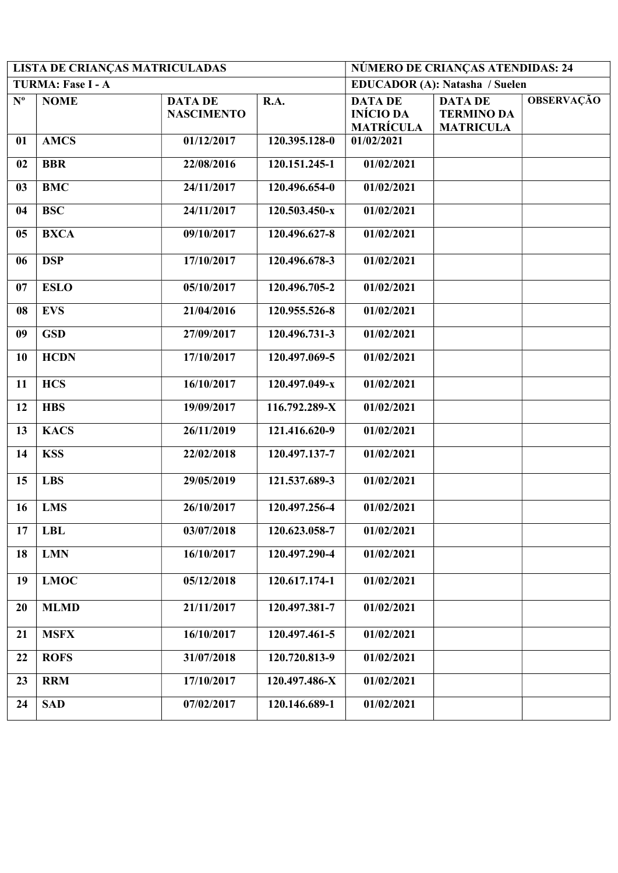|             | <b>LISTA DE CRIANÇAS MATRICULADAS</b> |                                     | NÚMERO DE CRIANÇAS ATENDIDAS: 24 |                                                        |                                                         |                   |
|-------------|---------------------------------------|-------------------------------------|----------------------------------|--------------------------------------------------------|---------------------------------------------------------|-------------------|
|             | TURMA: Fase I - A                     |                                     |                                  |                                                        | <b>EDUCADOR (A): Natasha / Suelen</b>                   |                   |
| $N^{\circ}$ | <b>NOME</b>                           | <b>DATA DE</b><br><b>NASCIMENTO</b> | R.A.                             | <b>DATA DE</b><br><b>INÍCIO DA</b><br><b>MATRÍCULA</b> | <b>DATA DE</b><br><b>TERMINO DA</b><br><b>MATRICULA</b> | <b>OBSERVAÇÃO</b> |
| 01          | <b>AMCS</b>                           | 01/12/2017                          | 120.395.128-0                    | 01/02/2021                                             |                                                         |                   |
| 02          | <b>BBR</b>                            | 22/08/2016                          | 120.151.245-1                    | 01/02/2021                                             |                                                         |                   |
| 03          | <b>BMC</b>                            | 24/11/2017                          | 120.496.654-0                    | 01/02/2021                                             |                                                         |                   |
| 04          | <b>BSC</b>                            | 24/11/2017                          | 120.503.450-x                    | 01/02/2021                                             |                                                         |                   |
| 05          | <b>BXCA</b>                           | 09/10/2017                          | 120.496.627-8                    | 01/02/2021                                             |                                                         |                   |
| 06          | <b>DSP</b>                            | 17/10/2017                          | 120.496.678-3                    | 01/02/2021                                             |                                                         |                   |
| 07          | <b>ESLO</b>                           | 05/10/2017                          | 120.496.705-2                    | 01/02/2021                                             |                                                         |                   |
| 08          | <b>EVS</b>                            | 21/04/2016                          | 120.955.526-8                    | 01/02/2021                                             |                                                         |                   |
| 09          | <b>GSD</b>                            | 27/09/2017                          | 120.496.731-3                    | 01/02/2021                                             |                                                         |                   |
| 10          | <b>HCDN</b>                           | 17/10/2017                          | 120.497.069-5                    | 01/02/2021                                             |                                                         |                   |
| 11          | <b>HCS</b>                            | 16/10/2017                          | 120.497.049-x                    | 01/02/2021                                             |                                                         |                   |
| 12          | <b>HBS</b>                            | 19/09/2017                          | 116.792.289-X                    | 01/02/2021                                             |                                                         |                   |
| 13          | <b>KACS</b>                           | 26/11/2019                          | 121.416.620-9                    | 01/02/2021                                             |                                                         |                   |
| 14          | <b>KSS</b>                            | 22/02/2018                          | 120.497.137-7                    | 01/02/2021                                             |                                                         |                   |
| 15          | <b>LBS</b>                            | 29/05/2019                          | 121.537.689-3                    | 01/02/2021                                             |                                                         |                   |
| 16          | <b>LMS</b>                            | 26/10/2017                          | 120.497.256-4                    | 01/02/2021                                             |                                                         |                   |
| 17          | <b>LBL</b>                            | 03/07/2018                          | 120.623.058-7                    | 01/02/2021                                             |                                                         |                   |
| 18          | <b>LMN</b>                            | 16/10/2017                          | 120.497.290-4                    | 01/02/2021                                             |                                                         |                   |
| 19          | <b>LMOC</b>                           | 05/12/2018                          | 120.617.174-1                    | 01/02/2021                                             |                                                         |                   |
| 20          | <b>MLMD</b>                           | 21/11/2017                          | 120.497.381-7                    | 01/02/2021                                             |                                                         |                   |
| 21          | <b>MSFX</b>                           | 16/10/2017                          | 120.497.461-5                    | 01/02/2021                                             |                                                         |                   |
| 22          | <b>ROFS</b>                           | 31/07/2018                          | 120.720.813-9                    | 01/02/2021                                             |                                                         |                   |
| 23          | <b>RRM</b>                            | 17/10/2017                          | 120.497.486-X                    | 01/02/2021                                             |                                                         |                   |
| 24          | <b>SAD</b>                            | 07/02/2017                          | 120.146.689-1                    | 01/02/2021                                             |                                                         |                   |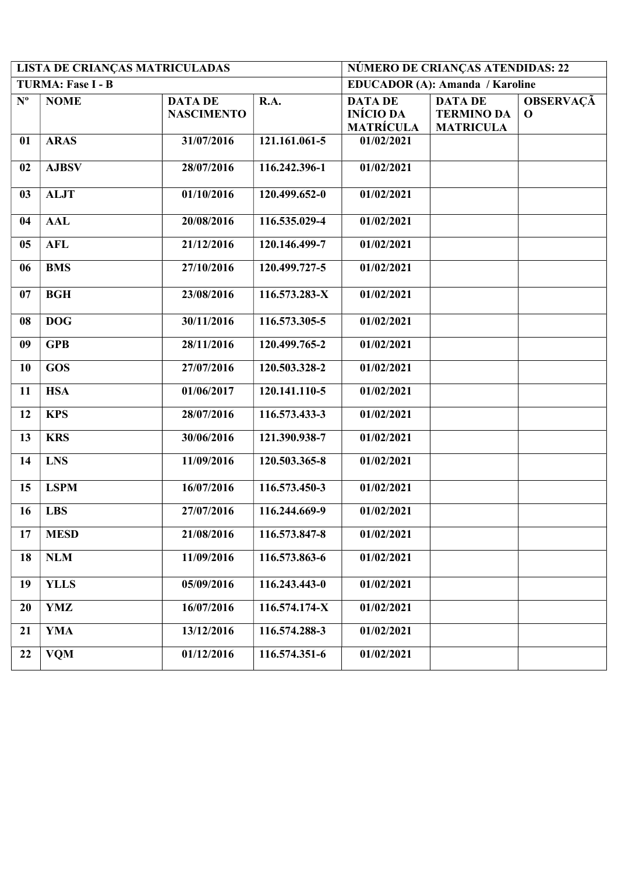|                           | LISTA DE CRIANÇAS MATRICULADAS |                                     | NÚMERO DE CRIANÇAS ATENDIDAS: 22 |                                                        |                                                         |                                 |  |
|---------------------------|--------------------------------|-------------------------------------|----------------------------------|--------------------------------------------------------|---------------------------------------------------------|---------------------------------|--|
|                           | TURMA: Fase I - B              |                                     |                                  | <b>EDUCADOR (A): Amanda / Karoline</b>                 |                                                         |                                 |  |
| $\mathbf{N}^{\mathbf{o}}$ | <b>NOME</b>                    | <b>DATA DE</b><br><b>NASCIMENTO</b> | R.A.                             | <b>DATA DE</b><br><b>INÍCIO DA</b><br><b>MATRÍCULA</b> | <b>DATA DE</b><br><b>TERMINO DA</b><br><b>MATRICULA</b> | <b>OBSERVAÇÃ</b><br>$\mathbf 0$ |  |
| 01                        | <b>ARAS</b>                    | 31/07/2016                          | 121.161.061-5                    | 01/02/2021                                             |                                                         |                                 |  |
| 02                        | <b>AJBSV</b>                   | 28/07/2016                          | 116.242.396-1                    | 01/02/2021                                             |                                                         |                                 |  |
| 03                        | <b>ALJT</b>                    | 01/10/2016                          | 120.499.652-0                    | 01/02/2021                                             |                                                         |                                 |  |
| 04                        | <b>AAL</b>                     | 20/08/2016                          | 116.535.029-4                    | 01/02/2021                                             |                                                         |                                 |  |
| 05                        | <b>AFL</b>                     | 21/12/2016                          | 120.146.499-7                    | 01/02/2021                                             |                                                         |                                 |  |
| 06                        | <b>BMS</b>                     | 27/10/2016                          | 120.499.727-5                    | 01/02/2021                                             |                                                         |                                 |  |
| 07                        | <b>BGH</b>                     | 23/08/2016                          | 116.573.283-X                    | 01/02/2021                                             |                                                         |                                 |  |
| 08                        | <b>DOG</b>                     | 30/11/2016                          | 116.573.305-5                    | 01/02/2021                                             |                                                         |                                 |  |
| 09                        | <b>GPB</b>                     | 28/11/2016                          | 120.499.765-2                    | 01/02/2021                                             |                                                         |                                 |  |
| 10                        | <b>GOS</b>                     | 27/07/2016                          | 120.503.328-2                    | 01/02/2021                                             |                                                         |                                 |  |
| 11                        | <b>HSA</b>                     | 01/06/2017                          | $120.141.110 - 5$                | 01/02/2021                                             |                                                         |                                 |  |
| 12                        | <b>KPS</b>                     | 28/07/2016                          | 116.573.433-3                    | 01/02/2021                                             |                                                         |                                 |  |
| 13                        | <b>KRS</b>                     | 30/06/2016                          | 121.390.938-7                    | 01/02/2021                                             |                                                         |                                 |  |
| 14                        | <b>LNS</b>                     | 11/09/2016                          | 120.503.365-8                    | 01/02/2021                                             |                                                         |                                 |  |
| 15                        | <b>LSPM</b>                    | 16/07/2016                          | 116.573.450-3                    | 01/02/2021                                             |                                                         |                                 |  |
| 16                        | <b>LBS</b>                     | 27/07/2016                          | 116.244.669-9                    | 01/02/2021                                             |                                                         |                                 |  |
| 17                        | <b>MESD</b>                    | 21/08/2016                          | 116.573.847-8                    | 01/02/2021                                             |                                                         |                                 |  |
| 18                        | <b>NLM</b>                     | 11/09/2016                          | 116.573.863-6                    | 01/02/2021                                             |                                                         |                                 |  |
| 19                        | <b>YLLS</b>                    | 05/09/2016                          | 116.243.443-0                    | 01/02/2021                                             |                                                         |                                 |  |
| 20                        | YMZ                            | 16/07/2016                          | 116.574.174-X                    | 01/02/2021                                             |                                                         |                                 |  |
| 21                        | <b>YMA</b>                     | 13/12/2016                          | 116.574.288-3                    | 01/02/2021                                             |                                                         |                                 |  |
| 22                        | <b>VQM</b>                     | 01/12/2016                          | 116.574.351-6                    | 01/02/2021                                             |                                                         |                                 |  |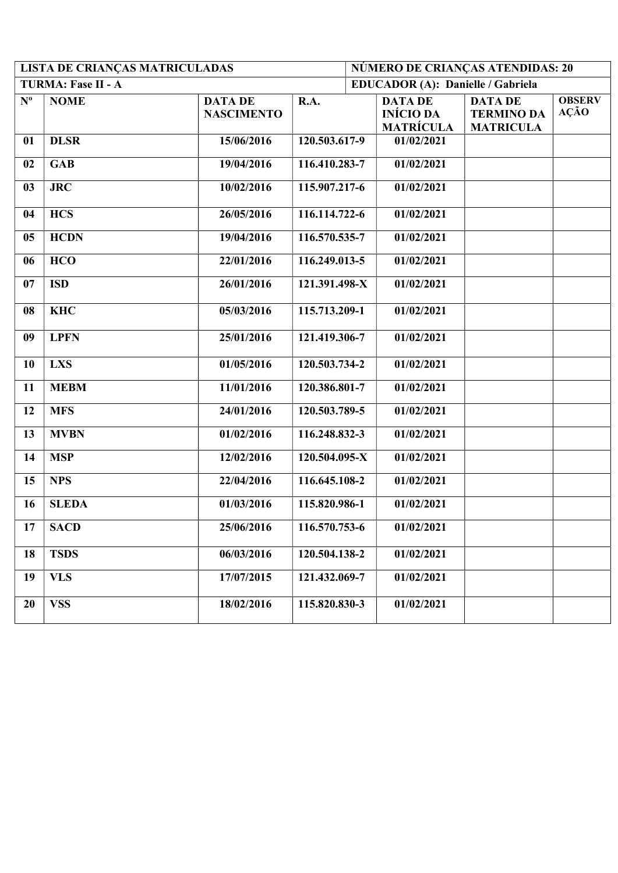|                | <b>LISTA DE CRIANÇAS MATRICULADAS</b> |                                     |                             |                                                        | NÚMERO DE CRIANÇAS ATENDIDAS: 20                        |                              |
|----------------|---------------------------------------|-------------------------------------|-----------------------------|--------------------------------------------------------|---------------------------------------------------------|------------------------------|
|                | TURMA: Fase II - A                    |                                     |                             | <b>EDUCADOR (A): Danielle / Gabriela</b>               |                                                         |                              |
| $N^{\text{o}}$ | <b>NOME</b>                           | <b>DATA DE</b><br><b>NASCIMENTO</b> | R.A.                        | <b>DATA DE</b><br><b>INÍCIO DA</b><br><b>MATRÍCULA</b> | <b>DATA DE</b><br><b>TERMINO DA</b><br><b>MATRICULA</b> | <b>OBSERV</b><br><b>AÇÃO</b> |
| 01             | <b>DLSR</b>                           | 15/06/2016                          | 120.503.617-9               | 01/02/2021                                             |                                                         |                              |
| 02             | <b>GAB</b>                            | 19/04/2016                          | 116.410.283-7               | 01/02/2021                                             |                                                         |                              |
| 03             | <b>JRC</b>                            | 10/02/2016                          | 115.907.217-6               | 01/02/2021                                             |                                                         |                              |
| 04             | <b>HCS</b>                            | 26/05/2016                          | 116.114.722-6               | 01/02/2021                                             |                                                         |                              |
| 05             | <b>HCDN</b>                           | 19/04/2016                          | 116.570.535-7               | 01/02/2021                                             |                                                         |                              |
| 06             | <b>HCO</b>                            | 22/01/2016                          | 116.249.013-5               | 01/02/2021                                             |                                                         |                              |
| 07             | <b>ISD</b>                            | 26/01/2016                          | 121.391.498-X               | 01/02/2021                                             |                                                         |                              |
| 08             | <b>KHC</b>                            | 05/03/2016                          | $\overline{11}$ 5.713.209-1 | 01/02/2021                                             |                                                         |                              |
| 09             | <b>LPFN</b>                           | 25/01/2016                          | 121.419.306-7               | 01/02/2021                                             |                                                         |                              |
| 10             | <b>LXS</b>                            | 01/05/2016                          | 120.503.734-2               | 01/02/2021                                             |                                                         |                              |
| 11             | <b>MEBM</b>                           | 11/01/2016                          | 120.386.801-7               | 01/02/2021                                             |                                                         |                              |
| 12             | <b>MFS</b>                            | 24/01/2016                          | 120.503.789-5               | 01/02/2021                                             |                                                         |                              |
| 13             | <b>MVBN</b>                           | 01/02/2016                          | 116.248.832-3               | 01/02/2021                                             |                                                         |                              |
| 14             | <b>MSP</b>                            | 12/02/2016                          | 120.504.095-X               | 01/02/2021                                             |                                                         |                              |
| 15             | <b>NPS</b>                            | 22/04/2016                          | 116.645.108-2               | 01/02/2021                                             |                                                         |                              |
| 16             | <b>SLEDA</b>                          | 01/03/2016                          | 115.820.986-1               | 01/02/2021                                             |                                                         |                              |
| 17             | <b>SACD</b>                           | 25/06/2016                          | 116.570.753-6               | 01/02/2021                                             |                                                         |                              |
| 18             | <b>TSDS</b>                           | 06/03/2016                          | 120.504.138-2               | 01/02/2021                                             |                                                         |                              |
| 19             | <b>VLS</b>                            | 17/07/2015                          | 121.432.069-7               | 01/02/2021                                             |                                                         |                              |
| 20             | <b>VSS</b>                            | 18/02/2016                          | 115.820.830-3               | 01/02/2021                                             |                                                         |                              |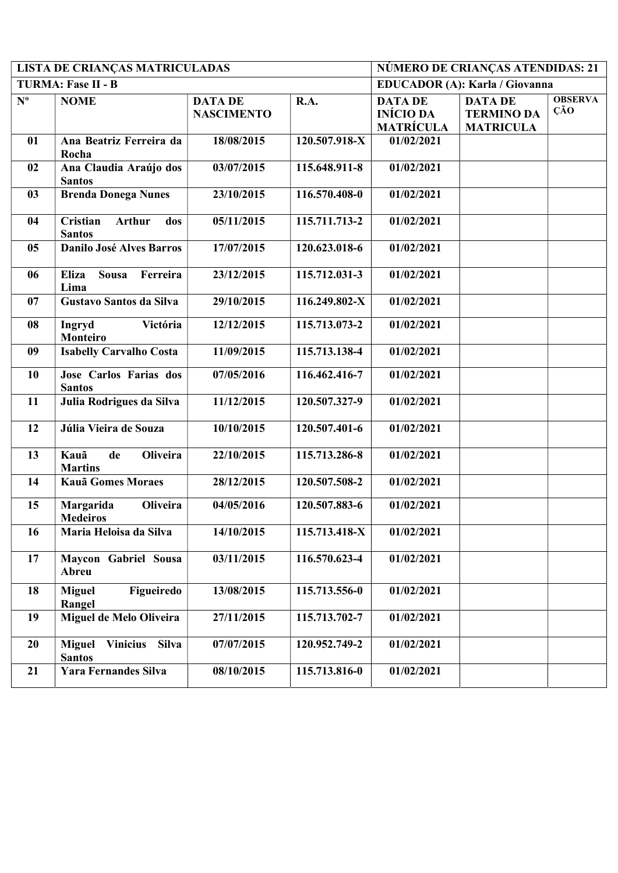|             | LISTA DE CRIANÇAS MATRICULADAS                                    |                                     | NÚMERO DE CRIANÇAS ATENDIDAS: 21 |                                                        |                                                         |                       |  |
|-------------|-------------------------------------------------------------------|-------------------------------------|----------------------------------|--------------------------------------------------------|---------------------------------------------------------|-----------------------|--|
|             | TURMA: Fase II - B                                                |                                     |                                  |                                                        | <b>EDUCADOR (A): Karla / Giovanna</b>                   |                       |  |
| $N^{\circ}$ | <b>NOME</b>                                                       | <b>DATA DE</b><br><b>NASCIMENTO</b> | R.A.                             | <b>DATA DE</b><br><b>INÍCIO DA</b><br><b>MATRÍCULA</b> | <b>DATA DE</b><br><b>TERMINO DA</b><br><b>MATRICULA</b> | <b>OBSERVA</b><br>ÇÃO |  |
| 01          | Ana Beatriz Ferreira da<br>Rocha                                  | 18/08/2015                          | 120.507.918-X                    | 01/02/2021                                             |                                                         |                       |  |
| 02          | Ana Claudia Araújo dos<br><b>Santos</b>                           | 03/07/2015                          | 115.648.911-8                    | 01/02/2021                                             |                                                         |                       |  |
| 03          | <b>Brenda Donega Nunes</b>                                        | 23/10/2015                          | 116.570.408-0                    | 01/02/2021                                             |                                                         |                       |  |
| 04          | Cristian<br><b>Arthur</b><br>dos<br><b>Santos</b>                 | 05/11/2015                          | 115.711.713-2                    | 01/02/2021                                             |                                                         |                       |  |
| 05          | <b>Danilo José Alves Barros</b>                                   | 17/07/2015                          | 120.623.018-6                    | 01/02/2021                                             |                                                         |                       |  |
| 06          | <b>Eliza</b><br><b>Sousa</b><br>Ferreira<br>Lima                  | 23/12/2015                          | 115.712.031-3                    | 01/02/2021                                             |                                                         |                       |  |
| 07          | Gustavo Santos da Silva                                           | 29/10/2015                          | 116.249.802-X                    | 01/02/2021                                             |                                                         |                       |  |
| 08          | Ingryd<br>Victória<br>Monteiro                                    | 12/12/2015                          | 115.713.073-2                    | 01/02/2021                                             |                                                         |                       |  |
| 09          | <b>Isabelly Carvalho Costa</b>                                    | 11/09/2015                          | 115.713.138-4                    | 01/02/2021                                             |                                                         |                       |  |
| 10          | Jose Carlos Farias dos<br><b>Santos</b>                           | 07/05/2016                          | 116.462.416-7                    | 01/02/2021                                             |                                                         |                       |  |
| 11          | Julia Rodrigues da Silva                                          | 11/12/2015                          | 120.507.327-9                    | 01/02/2021                                             |                                                         |                       |  |
| 12          | Júlia Vieira de Souza                                             | 10/10/2015                          | 120.507.401-6                    | 01/02/2021                                             |                                                         |                       |  |
| 13          | de<br><b>Oliveira</b><br>Kauã<br><b>Martins</b>                   | 22/10/2015                          | 115.713.286-8                    | 01/02/2021                                             |                                                         |                       |  |
| 14          | <b>Kauã Gomes Moraes</b>                                          | 28/12/2015                          | 120.507.508-2                    | 01/02/2021                                             |                                                         |                       |  |
| 15          | Margarida<br><b>Oliveira</b><br><b>Medeiros</b>                   | 04/05/2016                          | 120.507.883-6                    | 01/02/2021                                             |                                                         |                       |  |
| 16          | Maria Heloisa da Silva                                            | 14/10/2015                          | 115.713.418-X                    | 01/02/2021                                             |                                                         |                       |  |
| 17          | Maycon Gabriel Sousa<br>Abreu                                     | 03/11/2015                          | 116.570.623-4                    | 01/02/2021                                             |                                                         |                       |  |
| 18          | Figueiredo<br><b>Miguel</b><br>Rangel                             | 13/08/2015                          | 115.713.556-0                    | 01/02/2021                                             |                                                         |                       |  |
| 19          | Miguel de Melo Oliveira                                           | 27/11/2015                          | 115.713.702-7                    | 01/02/2021                                             |                                                         |                       |  |
| 20          | <b>Silva</b><br><b>Vinicius</b><br><b>Miguel</b><br><b>Santos</b> | 07/07/2015                          | 120.952.749-2                    | 01/02/2021                                             |                                                         |                       |  |
| 21          | <b>Yara Fernandes Silva</b>                                       | 08/10/2015                          | 115.713.816-0                    | 01/02/2021                                             |                                                         |                       |  |